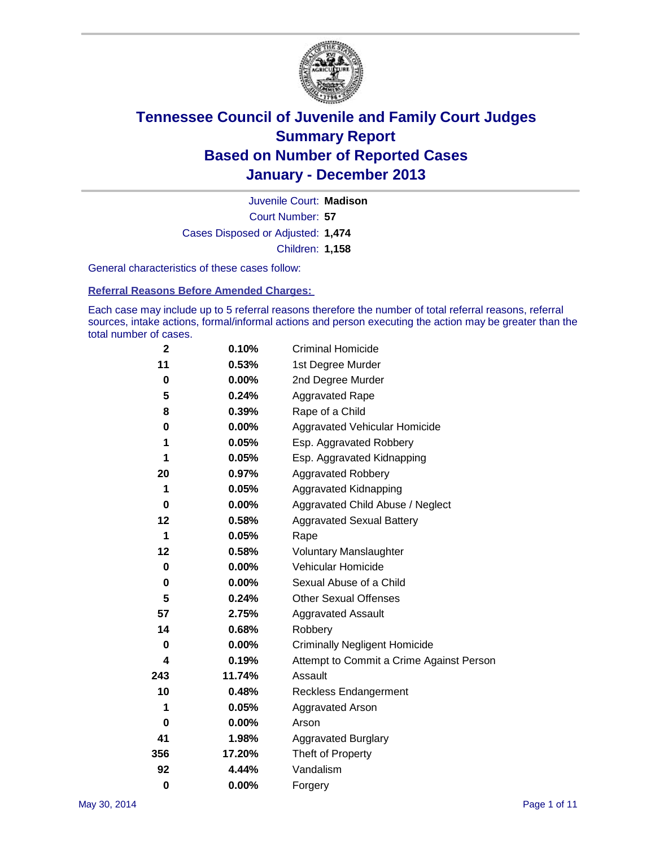

Court Number: **57** Juvenile Court: **Madison** Cases Disposed or Adjusted: **1,474** Children: **1,158**

General characteristics of these cases follow:

**Referral Reasons Before Amended Charges:** 

Each case may include up to 5 referral reasons therefore the number of total referral reasons, referral sources, intake actions, formal/informal actions and person executing the action may be greater than the total number of cases.

| $\mathbf{2}$ | 0.10%    | <b>Criminal Homicide</b>                 |
|--------------|----------|------------------------------------------|
| 11           | 0.53%    | 1st Degree Murder                        |
| 0            | $0.00\%$ | 2nd Degree Murder                        |
| 5            | 0.24%    | <b>Aggravated Rape</b>                   |
| 8            | 0.39%    | Rape of a Child                          |
| 0            | 0.00%    | <b>Aggravated Vehicular Homicide</b>     |
| 1            | 0.05%    | Esp. Aggravated Robbery                  |
| 1            | 0.05%    | Esp. Aggravated Kidnapping               |
| 20           | 0.97%    | <b>Aggravated Robbery</b>                |
| 1            | 0.05%    | Aggravated Kidnapping                    |
| 0            | $0.00\%$ | Aggravated Child Abuse / Neglect         |
| 12           | 0.58%    | <b>Aggravated Sexual Battery</b>         |
| 1            | 0.05%    | Rape                                     |
| 12           | 0.58%    | <b>Voluntary Manslaughter</b>            |
| $\bf{0}$     | 0.00%    | Vehicular Homicide                       |
| 0            | $0.00\%$ | Sexual Abuse of a Child                  |
| 5            | 0.24%    | <b>Other Sexual Offenses</b>             |
| 57           | 2.75%    | <b>Aggravated Assault</b>                |
| 14           | 0.68%    | Robbery                                  |
| 0            | $0.00\%$ | <b>Criminally Negligent Homicide</b>     |
| 4            | 0.19%    | Attempt to Commit a Crime Against Person |
| 243          | 11.74%   | Assault                                  |
| 10           | 0.48%    | <b>Reckless Endangerment</b>             |
| 1            | 0.05%    | <b>Aggravated Arson</b>                  |
| 0            | 0.00%    | Arson                                    |
| 41           | 1.98%    | <b>Aggravated Burglary</b>               |
| 356          | 17.20%   | Theft of Property                        |
| 92           | 4.44%    | Vandalism                                |
| $\bf{0}$     | 0.00%    | Forgery                                  |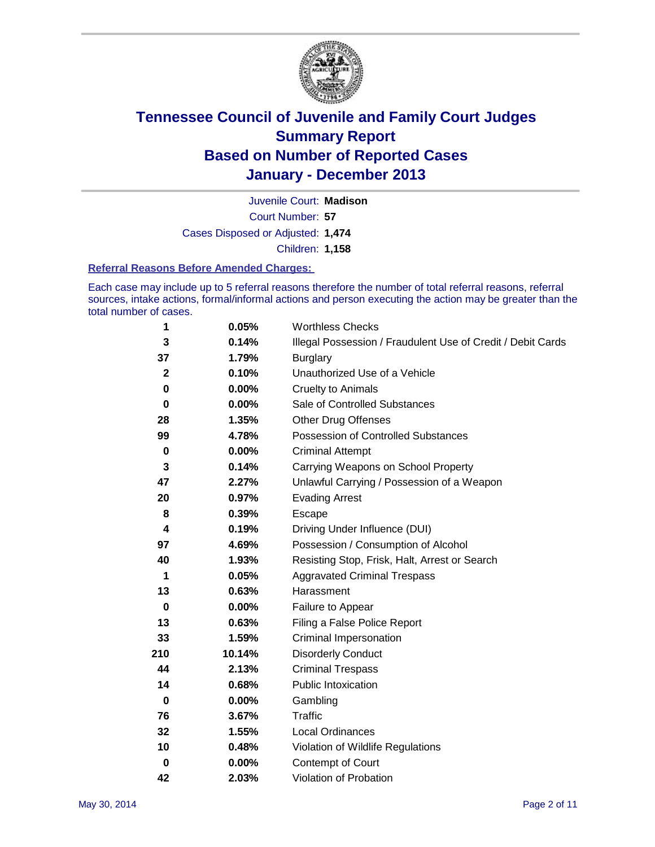

Court Number: **57** Juvenile Court: **Madison** Cases Disposed or Adjusted: **1,474** Children: **1,158**

#### **Referral Reasons Before Amended Charges:**

Each case may include up to 5 referral reasons therefore the number of total referral reasons, referral sources, intake actions, formal/informal actions and person executing the action may be greater than the total number of cases.

| 1            | 0.05%    | <b>Worthless Checks</b>                                     |
|--------------|----------|-------------------------------------------------------------|
| 3            | 0.14%    | Illegal Possession / Fraudulent Use of Credit / Debit Cards |
| 37           | 1.79%    | <b>Burglary</b>                                             |
| $\mathbf{2}$ | 0.10%    | Unauthorized Use of a Vehicle                               |
| 0            | 0.00%    | <b>Cruelty to Animals</b>                                   |
| $\bf{0}$     | $0.00\%$ | Sale of Controlled Substances                               |
| 28           | 1.35%    | <b>Other Drug Offenses</b>                                  |
| 99           | 4.78%    | Possession of Controlled Substances                         |
| $\pmb{0}$    | $0.00\%$ | <b>Criminal Attempt</b>                                     |
| 3            | 0.14%    | Carrying Weapons on School Property                         |
| 47           | 2.27%    | Unlawful Carrying / Possession of a Weapon                  |
| 20           | 0.97%    | <b>Evading Arrest</b>                                       |
| 8            | 0.39%    | Escape                                                      |
| 4            | 0.19%    | Driving Under Influence (DUI)                               |
| 97           | 4.69%    | Possession / Consumption of Alcohol                         |
| 40           | 1.93%    | Resisting Stop, Frisk, Halt, Arrest or Search               |
| 1            | 0.05%    | <b>Aggravated Criminal Trespass</b>                         |
| 13           | 0.63%    | Harassment                                                  |
| $\bf{0}$     | 0.00%    | Failure to Appear                                           |
| 13           | 0.63%    | Filing a False Police Report                                |
| 33           | 1.59%    | Criminal Impersonation                                      |
| 210          | 10.14%   | <b>Disorderly Conduct</b>                                   |
| 44           | 2.13%    | <b>Criminal Trespass</b>                                    |
| 14           | 0.68%    | <b>Public Intoxication</b>                                  |
| $\mathbf 0$  | 0.00%    | Gambling                                                    |
| 76           | 3.67%    | Traffic                                                     |
| 32           | 1.55%    | <b>Local Ordinances</b>                                     |
| 10           | 0.48%    | Violation of Wildlife Regulations                           |
| $\bf{0}$     | 0.00%    | Contempt of Court                                           |
| 42           | 2.03%    | Violation of Probation                                      |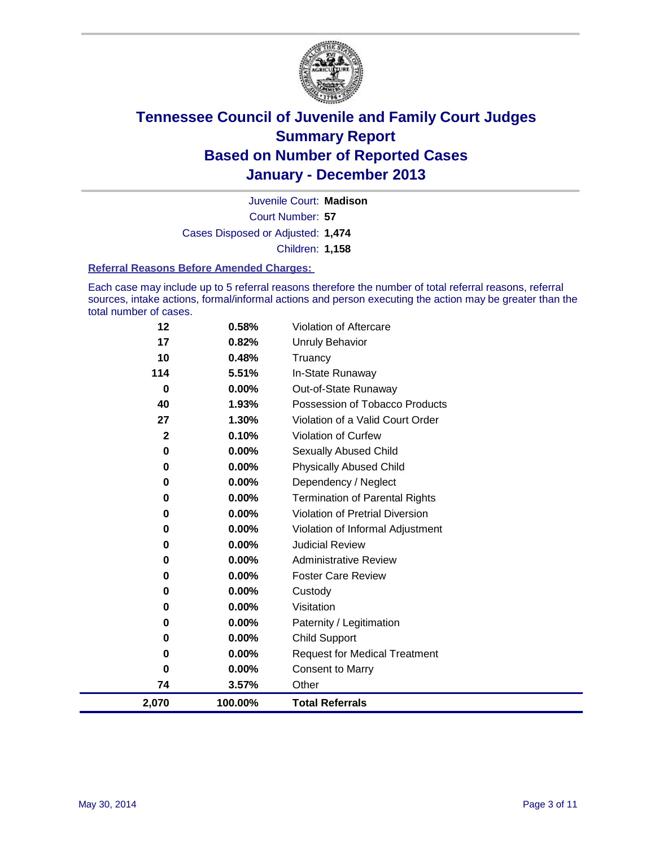

Court Number: **57** Juvenile Court: **Madison** Cases Disposed or Adjusted: **1,474** Children: **1,158**

#### **Referral Reasons Before Amended Charges:**

Each case may include up to 5 referral reasons therefore the number of total referral reasons, referral sources, intake actions, formal/informal actions and person executing the action may be greater than the total number of cases.

| 2,070        | 100.00%           | <b>Total Referrals</b>                                 |
|--------------|-------------------|--------------------------------------------------------|
| 74           | 3.57%             | Other                                                  |
| $\bf{0}$     | 0.00%             | <b>Consent to Marry</b>                                |
| 0            | 0.00%             | <b>Request for Medical Treatment</b>                   |
| 0            | 0.00%             | <b>Child Support</b>                                   |
| 0            | 0.00%             | Paternity / Legitimation                               |
| $\bf{0}$     | 0.00%             | Visitation                                             |
| $\bf{0}$     | 0.00%             | Custody                                                |
| 0            | 0.00%             | <b>Foster Care Review</b>                              |
| 0            | $0.00\%$          | <b>Administrative Review</b>                           |
| 0            | 0.00%             | <b>Judicial Review</b>                                 |
| $\bf{0}$     | 0.00%             | Violation of Informal Adjustment                       |
| 0            | 0.00%             | <b>Violation of Pretrial Diversion</b>                 |
| $\bf{0}$     | 0.00%             | <b>Termination of Parental Rights</b>                  |
| $\bf{0}$     | 0.00%             | Dependency / Neglect                                   |
| 0            | 0.00%             | <b>Physically Abused Child</b>                         |
| 0            | 0.00%             | Sexually Abused Child                                  |
| $\mathbf{2}$ | 0.10%             | <b>Violation of Curfew</b>                             |
| 27           | 1.30%             | Violation of a Valid Court Order                       |
| 0<br>40      | $0.00\%$<br>1.93% | Out-of-State Runaway<br>Possession of Tobacco Products |
| 114          | 5.51%             | In-State Runaway                                       |
| 10           | 0.48%             | Truancy                                                |
| 17           | 0.82%             | Unruly Behavior                                        |
| 12           | 0.58%             | Violation of Aftercare                                 |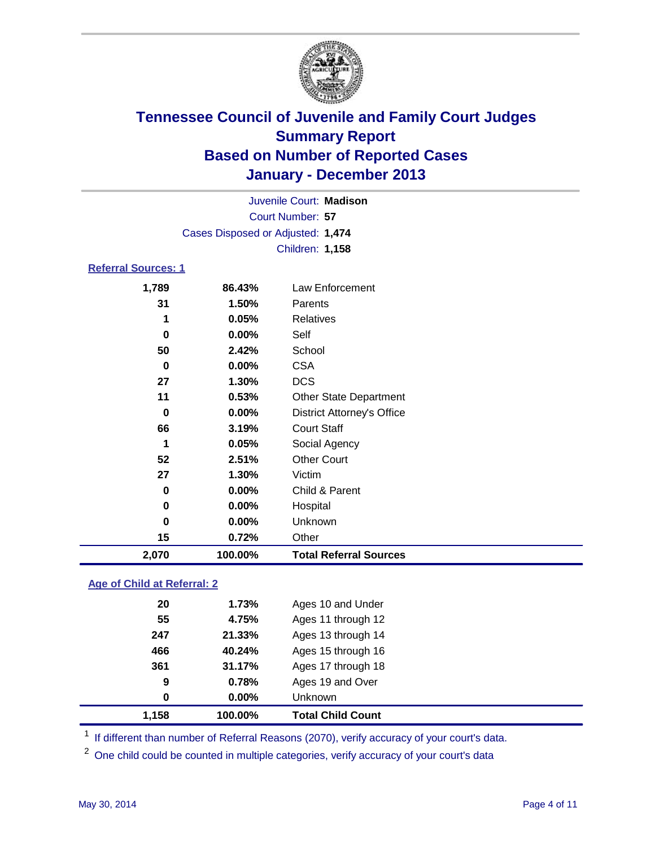

|                            |                                   | Juvenile Court: Madison       |
|----------------------------|-----------------------------------|-------------------------------|
|                            |                                   | Court Number: 57              |
|                            | Cases Disposed or Adjusted: 1,474 |                               |
|                            |                                   | Children: 1,158               |
| <b>Referral Sources: 1</b> |                                   |                               |
| 1,789                      | 86.43%                            | Law Enforcement               |
| 31                         | 1.50%                             | Parents                       |
| 1                          | 0.05%                             | <b>Relatives</b>              |
| 0                          | $0.00\%$                          | Self                          |
| 50                         | 2.42%                             | School                        |
| 0                          | $0.00\%$                          | <b>CSA</b>                    |
| 27                         | 1.30%                             | <b>DCS</b>                    |
| 11                         | $0.53\%$                          | <b>Other State Department</b> |
| 0                          | 0.00%                             | District Attorney's Office    |

**66 3.19%** Court Staff

| 2,070 | 100.00%       | <b>Total Referral Sources</b> |
|-------|---------------|-------------------------------|
| 15    | 0.72%         | Other                         |
|       | $0.00\%$<br>0 | Unknown                       |
|       | 0.00%<br>0    | Hospital                      |
|       | 0.00%<br>0    | Child & Parent                |
| 27    | 1.30%         | Victim                        |
| 52    | 2.51%         | <b>Other Court</b>            |
|       | 0.05%<br>1    | Social Agency                 |

### **Age of Child at Referral: 2**

| 9<br>0 | 0.78%<br>$0.00\%$ | Ages 19 and Over<br>Unknown |
|--------|-------------------|-----------------------------|
|        |                   |                             |
|        |                   |                             |
|        | 31.17%            | Ages 17 through 18          |
| 466    | 40.24%            | Ages 15 through 16          |
| 247    | 21.33%            | Ages 13 through 14          |
| 55     | 4.75%             | Ages 11 through 12          |
| 20     | 1.73%             | Ages 10 and Under           |
|        | 361               |                             |

<sup>1</sup> If different than number of Referral Reasons (2070), verify accuracy of your court's data.

<sup>2</sup> One child could be counted in multiple categories, verify accuracy of your court's data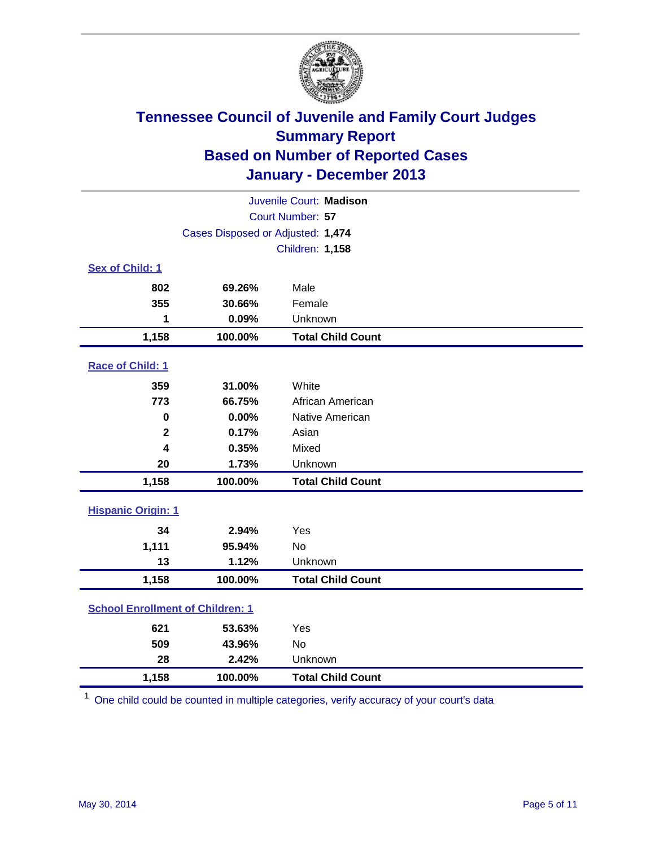

|                                         |                                   | Juvenile Court: Madison  |
|-----------------------------------------|-----------------------------------|--------------------------|
|                                         |                                   | Court Number: 57         |
|                                         | Cases Disposed or Adjusted: 1,474 |                          |
|                                         |                                   | Children: 1,158          |
| Sex of Child: 1                         |                                   |                          |
| 802                                     | 69.26%                            | Male                     |
| 355                                     | 30.66%                            | Female                   |
| 1                                       | 0.09%                             | Unknown                  |
| 1,158                                   | 100.00%                           | <b>Total Child Count</b> |
| Race of Child: 1                        |                                   |                          |
| 359                                     | 31.00%                            | White                    |
| 773                                     | 66.75%                            | African American         |
| $\mathbf 0$                             | 0.00%                             | Native American          |
| $\overline{2}$                          | 0.17%                             | Asian                    |
| 4                                       | 0.35%                             | Mixed                    |
| 20                                      | 1.73%                             | Unknown                  |
| 1,158                                   | 100.00%                           | <b>Total Child Count</b> |
| <b>Hispanic Origin: 1</b>               |                                   |                          |
| 34                                      | 2.94%                             | Yes                      |
| 1,111                                   | 95.94%                            | <b>No</b>                |
| 13                                      | 1.12%                             | Unknown                  |
| 1,158                                   | 100.00%                           | <b>Total Child Count</b> |
| <b>School Enrollment of Children: 1</b> |                                   |                          |
| 621                                     | 53.63%                            | Yes                      |
| 509                                     | 43.96%                            | <b>No</b>                |
| 28                                      | 2.42%                             | Unknown                  |
| 1,158                                   | 100.00%                           | <b>Total Child Count</b> |

 $1$  One child could be counted in multiple categories, verify accuracy of your court's data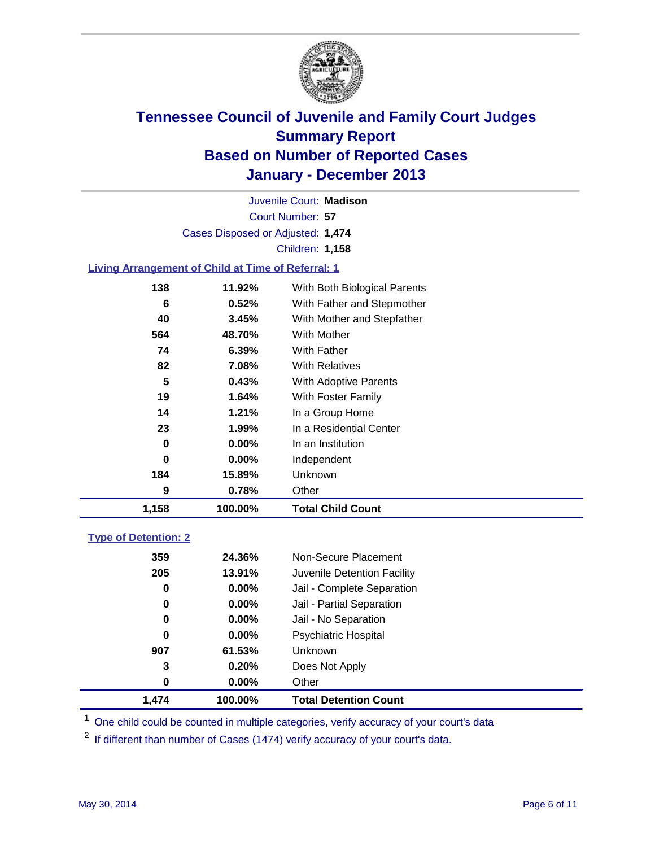

Court Number: **57** Juvenile Court: **Madison** Cases Disposed or Adjusted: **1,474** Children: **1,158**

### **Living Arrangement of Child at Time of Referral: 1**

| 1,158 | 100.00%  | <b>Total Child Count</b>     |
|-------|----------|------------------------------|
| 9     | 0.78%    | Other                        |
| 184   | 15.89%   | Unknown                      |
| 0     | $0.00\%$ | Independent                  |
| 0     | $0.00\%$ | In an Institution            |
| 23    | 1.99%    | In a Residential Center      |
| 14    | 1.21%    | In a Group Home              |
| 19    | 1.64%    | With Foster Family           |
| 5     | 0.43%    | With Adoptive Parents        |
| 82    | 7.08%    | <b>With Relatives</b>        |
| 74    | 6.39%    | With Father                  |
| 564   | 48.70%   | <b>With Mother</b>           |
| 40    | 3.45%    | With Mother and Stepfather   |
| 6     | 0.52%    | With Father and Stepmother   |
| 138   | 11.92%   | With Both Biological Parents |
|       |          |                              |

### **Type of Detention: 2**

| 1,474 | 100.00%  | <b>Total Detention Count</b> |  |
|-------|----------|------------------------------|--|
| 0     | 0.00%    | Other                        |  |
| 3     | 0.20%    | Does Not Apply               |  |
| 907   | 61.53%   | <b>Unknown</b>               |  |
| 0     | 0.00%    | <b>Psychiatric Hospital</b>  |  |
| 0     | $0.00\%$ | Jail - No Separation         |  |
| 0     | $0.00\%$ | Jail - Partial Separation    |  |
| 0     | 0.00%    | Jail - Complete Separation   |  |
| 205   | 13.91%   | Juvenile Detention Facility  |  |
| 359   | 24.36%   | Non-Secure Placement         |  |
|       |          |                              |  |

<sup>1</sup> One child could be counted in multiple categories, verify accuracy of your court's data

If different than number of Cases (1474) verify accuracy of your court's data.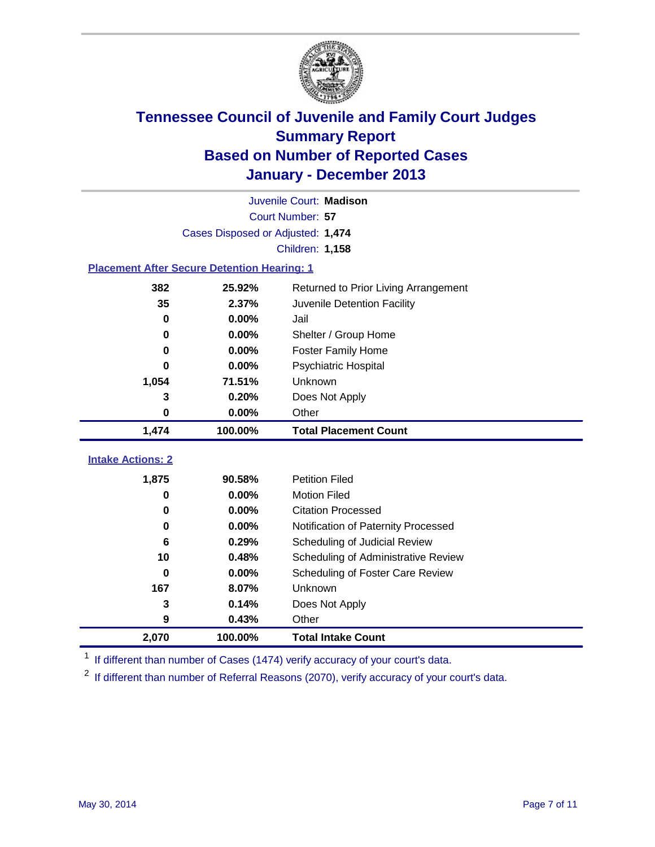

|                                                    |                                   | Juvenile Court: Madison              |
|----------------------------------------------------|-----------------------------------|--------------------------------------|
|                                                    |                                   | Court Number: 57                     |
|                                                    | Cases Disposed or Adjusted: 1,474 |                                      |
|                                                    |                                   | Children: 1,158                      |
| <b>Placement After Secure Detention Hearing: 1</b> |                                   |                                      |
| 382                                                | 25.92%                            | Returned to Prior Living Arrangement |
| 35                                                 | 2.37%                             | Juvenile Detention Facility          |
| 0                                                  | 0.00%                             | Jail                                 |
| 0                                                  | 0.00%                             | Shelter / Group Home                 |
| $\bf{0}$                                           | 0.00%                             | <b>Foster Family Home</b>            |
| 0                                                  | 0.00%                             | Psychiatric Hospital                 |
| 1,054                                              | 71.51%                            | Unknown                              |
| 3                                                  | 0.20%                             | Does Not Apply                       |
| $\mathbf 0$                                        | 0.00%                             | Other                                |
|                                                    |                                   |                                      |
| 1,474                                              | 100.00%                           | <b>Total Placement Count</b>         |
|                                                    |                                   |                                      |
| <b>Intake Actions: 2</b>                           |                                   |                                      |
| 1,875                                              | 90.58%                            | <b>Petition Filed</b>                |
| 0                                                  | 0.00%                             | <b>Motion Filed</b>                  |
| $\bf{0}$                                           | 0.00%                             | <b>Citation Processed</b>            |
| 0                                                  | 0.00%                             | Notification of Paternity Processed  |
| 6                                                  | 0.29%                             | Scheduling of Judicial Review        |
| 10                                                 | 0.48%                             | Scheduling of Administrative Review  |
| $\bf{0}$                                           | 0.00%                             | Scheduling of Foster Care Review     |
| 167                                                | 8.07%                             | Unknown                              |
| 3                                                  | 0.14%                             | Does Not Apply                       |
| 9                                                  | 0.43%                             | Other                                |

<sup>1</sup> If different than number of Cases (1474) verify accuracy of your court's data.

<sup>2</sup> If different than number of Referral Reasons (2070), verify accuracy of your court's data.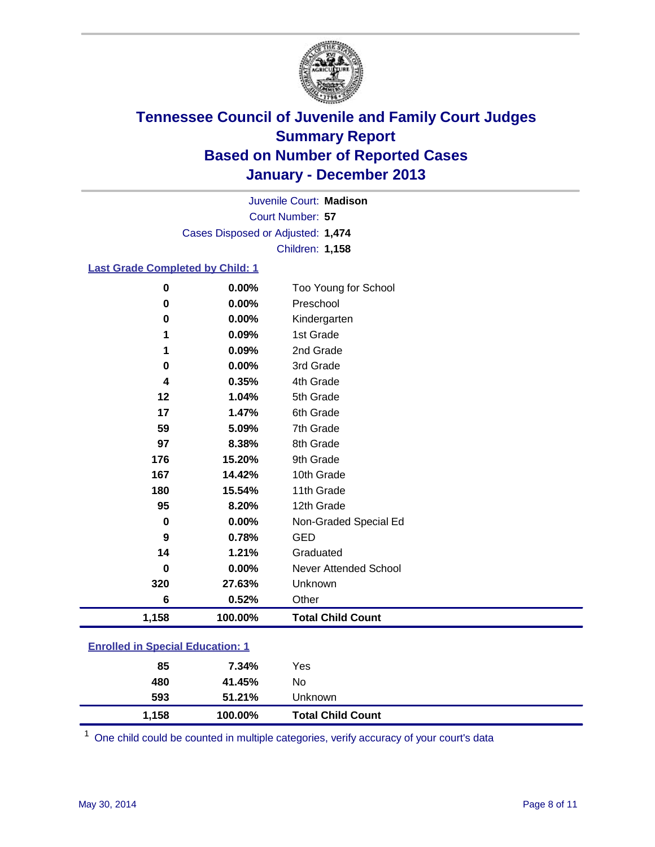

Court Number: **57** Juvenile Court: **Madison** Cases Disposed or Adjusted: **1,474** Children: **1,158**

### **Last Grade Completed by Child: 1**

| 0     | 0.00%   | Too Young for School     |
|-------|---------|--------------------------|
| 0     | 0.00%   | Preschool                |
| 0     | 0.00%   | Kindergarten             |
| 1     | 0.09%   | 1st Grade                |
| 1     | 0.09%   | 2nd Grade                |
| 0     | 0.00%   | 3rd Grade                |
| 4     | 0.35%   | 4th Grade                |
| 12    | 1.04%   | 5th Grade                |
| 17    | 1.47%   | 6th Grade                |
| 59    | 5.09%   | 7th Grade                |
| 97    | 8.38%   | 8th Grade                |
| 176   | 15.20%  | 9th Grade                |
| 167   | 14.42%  | 10th Grade               |
| 180   | 15.54%  | 11th Grade               |
| 95    | 8.20%   | 12th Grade               |
| 0     | 0.00%   | Non-Graded Special Ed    |
| 9     | 0.78%   | <b>GED</b>               |
| 14    | 1.21%   | Graduated                |
| 0     | 0.00%   | Never Attended School    |
| 320   | 27.63%  | Unknown                  |
| 6     | 0.52%   | Other                    |
| 1,158 | 100.00% | <b>Total Child Count</b> |

| <b>Enrolled in Special Education: 1</b> |
|-----------------------------------------|
|                                         |

| 85<br>480 | 7.34%<br>41.45% | Yes<br>No                |  |
|-----------|-----------------|--------------------------|--|
| 593       | 51.21%          | Unknown                  |  |
| 1,158     | 100.00%         | <b>Total Child Count</b> |  |

One child could be counted in multiple categories, verify accuracy of your court's data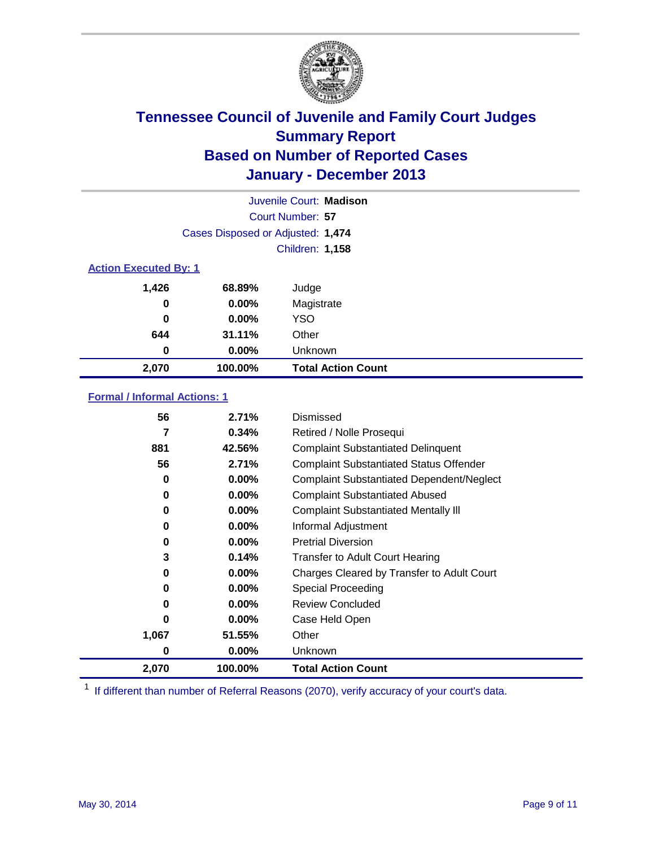

|                              |                                   | Juvenile Court: Madison   |
|------------------------------|-----------------------------------|---------------------------|
|                              |                                   | Court Number: 57          |
|                              | Cases Disposed or Adjusted: 1,474 |                           |
|                              |                                   | Children: 1,158           |
| <b>Action Executed By: 1</b> |                                   |                           |
| 1,426                        | 68.89%                            | Judge                     |
| 0                            | $0.00\%$                          | Magistrate                |
| $\bf{0}$                     | $0.00\%$                          | <b>YSO</b>                |
| 644                          | 31.11%                            | Other                     |
| 0                            | $0.00\%$                          | Unknown                   |
| 2,070                        | 100.00%                           | <b>Total Action Count</b> |

### **Formal / Informal Actions: 1**

| 56    | 2.71%    | Dismissed                                        |
|-------|----------|--------------------------------------------------|
| 7     | 0.34%    | Retired / Nolle Prosequi                         |
| 881   | 42.56%   | <b>Complaint Substantiated Delinquent</b>        |
| 56    | 2.71%    | <b>Complaint Substantiated Status Offender</b>   |
| 0     | $0.00\%$ | <b>Complaint Substantiated Dependent/Neglect</b> |
| 0     | $0.00\%$ | <b>Complaint Substantiated Abused</b>            |
| 0     | $0.00\%$ | <b>Complaint Substantiated Mentally III</b>      |
| 0     | $0.00\%$ | Informal Adjustment                              |
| 0     | $0.00\%$ | <b>Pretrial Diversion</b>                        |
| 3     | 0.14%    | <b>Transfer to Adult Court Hearing</b>           |
| 0     | $0.00\%$ | Charges Cleared by Transfer to Adult Court       |
| 0     | $0.00\%$ | Special Proceeding                               |
| 0     | $0.00\%$ | <b>Review Concluded</b>                          |
| 0     | $0.00\%$ | Case Held Open                                   |
| 1,067 | 51.55%   | Other                                            |
| 0     | $0.00\%$ | <b>Unknown</b>                                   |
| 2,070 | 100.00%  | <b>Total Action Count</b>                        |

<sup>1</sup> If different than number of Referral Reasons (2070), verify accuracy of your court's data.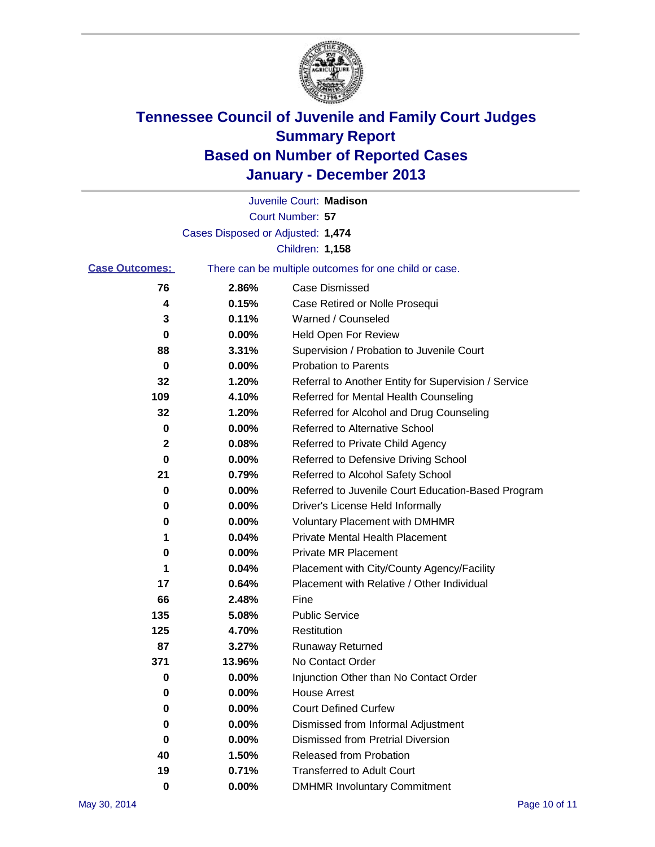

|                       |                                   | Juvenile Court: Madison                               |  |
|-----------------------|-----------------------------------|-------------------------------------------------------|--|
|                       |                                   | Court Number: 57                                      |  |
|                       | Cases Disposed or Adjusted: 1,474 |                                                       |  |
|                       |                                   | Children: 1,158                                       |  |
| <b>Case Outcomes:</b> |                                   | There can be multiple outcomes for one child or case. |  |
| 76                    | 2.86%                             | <b>Case Dismissed</b>                                 |  |
| 4                     | 0.15%                             | Case Retired or Nolle Prosequi                        |  |
| 3                     | 0.11%                             | Warned / Counseled                                    |  |
| 0                     | 0.00%                             | <b>Held Open For Review</b>                           |  |
| 88                    | 3.31%                             | Supervision / Probation to Juvenile Court             |  |
| 0                     | 0.00%                             | <b>Probation to Parents</b>                           |  |
| 32                    | 1.20%                             | Referral to Another Entity for Supervision / Service  |  |
| 109                   | 4.10%                             | Referred for Mental Health Counseling                 |  |
| 32                    | 1.20%                             | Referred for Alcohol and Drug Counseling              |  |
| 0                     | 0.00%                             | <b>Referred to Alternative School</b>                 |  |
| 2                     | 0.08%                             | Referred to Private Child Agency                      |  |
| 0                     | 0.00%                             | Referred to Defensive Driving School                  |  |
| 21                    | 0.79%                             | Referred to Alcohol Safety School                     |  |
| 0                     | 0.00%                             | Referred to Juvenile Court Education-Based Program    |  |
| 0                     | 0.00%                             | Driver's License Held Informally                      |  |
| 0                     | 0.00%                             | <b>Voluntary Placement with DMHMR</b>                 |  |
| 1                     | 0.04%                             | <b>Private Mental Health Placement</b>                |  |
| 0                     | 0.00%                             | <b>Private MR Placement</b>                           |  |
| 1                     | 0.04%                             | Placement with City/County Agency/Facility            |  |
| 17                    | 0.64%                             | Placement with Relative / Other Individual            |  |
| 66                    | 2.48%                             | Fine                                                  |  |
| 135                   | 5.08%                             | <b>Public Service</b>                                 |  |
| 125                   | 4.70%                             | Restitution                                           |  |
| 87                    | 3.27%                             | <b>Runaway Returned</b>                               |  |
| 371                   | 13.96%                            | No Contact Order                                      |  |
| 0                     | $0.00\%$                          | Injunction Other than No Contact Order                |  |
| 0                     | 0.00%                             | <b>House Arrest</b>                                   |  |
| 0                     | 0.00%                             | <b>Court Defined Curfew</b>                           |  |
| 0                     | 0.00%                             | Dismissed from Informal Adjustment                    |  |
| 0                     | 0.00%                             | <b>Dismissed from Pretrial Diversion</b>              |  |
| 40                    | 1.50%                             | Released from Probation                               |  |
| 19                    | 0.71%                             | <b>Transferred to Adult Court</b>                     |  |
| 0                     | 0.00%                             | <b>DMHMR Involuntary Commitment</b>                   |  |